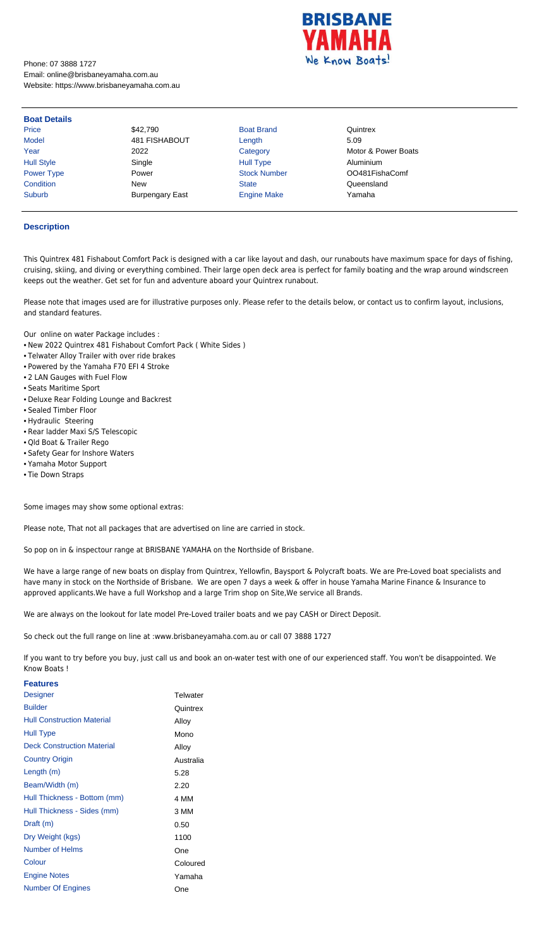

Phone: 07 3888 1727 Email: online@brisbaneyamaha.com.au Website: https://www.brisbaneyamaha.com.au

| <b>Boat Details</b> |                        |                     |                     |
|---------------------|------------------------|---------------------|---------------------|
| <b>Price</b>        | \$42,790               | <b>Boat Brand</b>   | Quintrex            |
| <b>Model</b>        | 481 FISHABOUT          | Length              | 5.09                |
| Year                | 2022                   | Category            | Motor & Power Boats |
| <b>Hull Style</b>   | Single                 | <b>Hull Type</b>    | Aluminium           |
| <b>Power Type</b>   | Power                  | <b>Stock Number</b> | OO481FishaComf      |
| Condition           | <b>New</b>             | <b>State</b>        | Queensland          |
| <b>Suburb</b>       | <b>Burpengary East</b> | <b>Engine Make</b>  | Yamaha              |

## **Description**

This Quintrex 481 Fishabout Comfort Pack is designed with a car like layout and dash, our runabouts have maximum space for days of fishing, cruising, skiing, and diving or everything combined. Their large open deck area is perfect for family boating and the wrap around windscreen keeps out the weather. Get set for fun and adventure aboard your Quintrex runabout.

Please note that images used are for illustrative purposes only. Please refer to the details below, or contact us to confirm layout, inclusions, and standard features.

Our online on water Package includes :

- New 2022 Quintrex 481 Fishabout Comfort Pack ( White Sides )
- Telwater Alloy Trailer with over ride brakes
- Powered by the Yamaha F70 EFI 4 Stroke
- 2 LAN Gauges with Fuel Flow
- Seats Maritime Sport
- Deluxe Rear Folding Lounge and Backrest
- Sealed Timber Floor
- Hydraulic Steering
- Rear ladder Maxi S/S Telescopic
- Qld Boat & Trailer Rego
- Safety Gear for Inshore Waters
- Yamaha Motor Support
- Tie Down Straps

Some images may show some optional extras:

Please note, That not all packages that are advertised on line are carried in stock.

So pop on in & inspectour range at BRISBANE YAMAHA on the Northside of Brisbane.

We have a large range of new boats on display from Quintrex, Yellowfin, Baysport & Polycraft boats. We are Pre-Loved boat specialists and have many in stock on the Northside of Brisbane. We are open 7 days a week & offer in house Yamaha Marine Finance & Insurance to approved applicants.We have a full Workshop and a large Trim shop on Site,We service all Brands.

We are always on the lookout for late model Pre-Loved trailer boats and we pay CASH or Direct Deposit.

So check out the full range on line at :www.brisbaneyamaha.com.au or call 07 3888 1727

If you want to try before you buy, just call us and book an on-water test with one of our experienced staff. You won't be disappointed. We Know Boats !

| <b>Features</b>                   |           |
|-----------------------------------|-----------|
| <b>Designer</b>                   | Telwater  |
| <b>Builder</b>                    | Quintrex  |
| <b>Hull Construction Material</b> | Alloy     |
| <b>Hull Type</b>                  | Mono      |
| <b>Deck Construction Material</b> | Alloy     |
| <b>Country Origin</b>             | Australia |
| Length (m)                        | 5.28      |
| Beam/Width (m)                    | 2.20      |
| Hull Thickness - Bottom (mm)      | 4 MM      |
| Hull Thickness - Sides (mm)       | 3 MM      |
| Draft (m)                         | 0.50      |
| Dry Weight (kgs)                  | 1100      |
| Number of Helms                   | One       |
| Colour                            | Coloured  |
| <b>Engine Notes</b>               | Yamaha    |
| <b>Number Of Engines</b>          | One       |